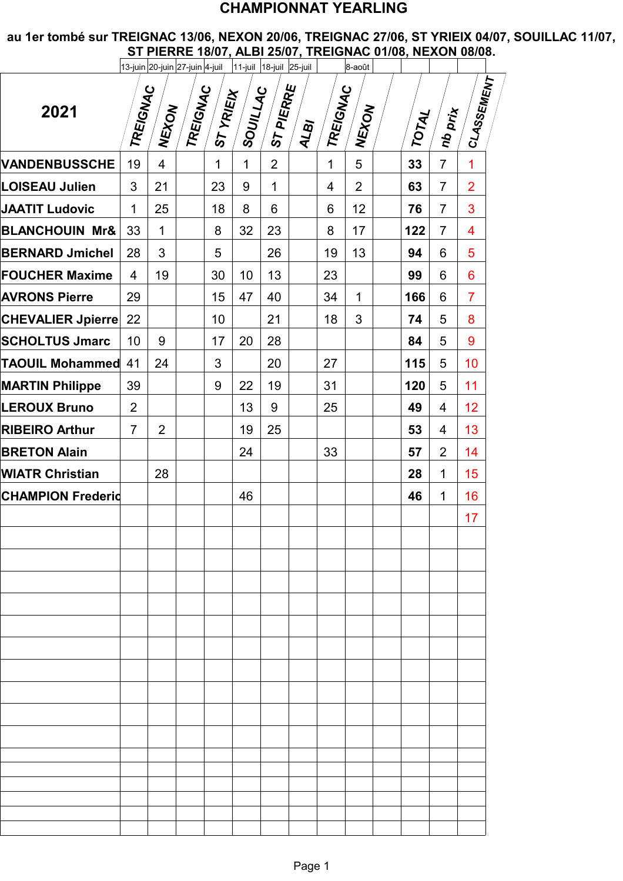## **CHAMPIONNAT YEARLING**

**au 1er tombé sur TREIGNAC 13/06, NEXON 20/06, TREIGNAC 27/06, ST YRIEIX 04/07, SOUILLAC 11/07, ST PIERRE 18/07, ALBI 25/07, TREIGNAC 01/08, NEXON 08/08.**

|                           |                | 13-juin 20-juin 27-juin 4-juil |                 |              | 11-juil 18-juil 25-juil |                |                  |                 | 8-août         |              |                | <b>THERE TOOT, ALDI ZOOT, TREIGHAU VIIVO, READR VOIVO.</b> |
|---------------------------|----------------|--------------------------------|-----------------|--------------|-------------------------|----------------|------------------|-----------------|----------------|--------------|----------------|------------------------------------------------------------|
| 2021                      | TREIGNAC       | INEXON                         | <b>TREIGNAC</b> | ST YRIEIX    | SOUILLAC                | ST PIERRE      | ALB <sub>I</sub> | <b>TREIGNAC</b> | INEXON         | <b>TOTAL</b> | nb prix        | CLASSEMENT                                                 |
| <b>VANDENBUSSCHE</b>      | 19             | $\overline{4}$                 |                 | $\mathbf{1}$ | $\mathbf{1}$            | $\overline{2}$ |                  | $\mathbf{1}$    | 5              | 33           | $\overline{7}$ | $\overline{1}$                                             |
| <b>LOISEAU Julien</b>     | 3              | 21                             |                 | 23           | 9                       | $\mathbf 1$    |                  | 4               | $\overline{2}$ | 63           | $\overline{7}$ | $\overline{2}$                                             |
| <b>JAATIT Ludovic</b>     | $\mathbf 1$    | 25                             |                 | 18           | 8                       | 6              |                  | 6               | 12             | 76           | $\overline{7}$ | 3                                                          |
| <b>BLANCHOUIN Mr&amp;</b> | 33             | $\mathbf 1$                    |                 | 8            | 32                      | 23             |                  | 8               | 17             | 122          | $\overline{7}$ | 4                                                          |
| <b>BERNARD Jmichel</b>    | 28             | 3                              |                 | 5            |                         | 26             |                  | 19              | 13             | 94           | 6              | 5                                                          |
| <b>FOUCHER Maxime</b>     | 4              | 19                             |                 | 30           | 10                      | 13             |                  | 23              |                | 99           | 6              | 6                                                          |
| <b>AVRONS Pierre</b>      | 29             |                                |                 | 15           | 47                      | 40             |                  | 34              | $\mathbf{1}$   | 166          | 6              | $\overline{7}$                                             |
| CHEVALIER Jpierre         | 22             |                                |                 | 10           |                         | 21             |                  | 18              | 3              | 74           | 5              | 8                                                          |
| <b>SCHOLTUS Jmarc</b>     | 10             | 9                              |                 | 17           | 20                      | 28             |                  |                 |                | 84           | 5              | 9                                                          |
| <b>TAOUIL Mohammed 41</b> |                | 24                             |                 | 3            |                         | 20             |                  | 27              |                | 115          | 5              | 10                                                         |
| <b>MARTIN Philippe</b>    | 39             |                                |                 | 9            | 22                      | 19             |                  | 31              |                | 120          | 5              | 11                                                         |
| <b>LEROUX Bruno</b>       | $\overline{2}$ |                                |                 |              | 13                      | 9              |                  | 25              |                | 49           | $\overline{4}$ | 12                                                         |
| <b>RIBEIRO Arthur</b>     | $\overline{7}$ | $\overline{2}$                 |                 |              | 19                      | 25             |                  |                 |                | 53           | $\overline{4}$ | 13                                                         |
| <b>BRETON Alain</b>       |                |                                |                 |              | 24                      |                |                  | 33              |                | 57           | $\overline{2}$ | 14                                                         |
| <b>WIATR Christian</b>    |                | 28                             |                 |              |                         |                |                  |                 |                | 28           | $\mathbf 1$    | 15                                                         |
| <b>CHAMPION Frederid</b>  |                |                                |                 |              | 46                      |                |                  |                 |                | 46           | $\mathbf{1}$   | 16                                                         |
|                           |                |                                |                 |              |                         |                |                  |                 |                |              |                | 17                                                         |
|                           |                |                                |                 |              |                         |                |                  |                 |                |              |                |                                                            |
|                           |                |                                |                 |              |                         |                |                  |                 |                |              |                |                                                            |
|                           |                |                                |                 |              |                         |                |                  |                 |                |              |                |                                                            |
|                           |                |                                |                 |              |                         |                |                  |                 |                |              |                |                                                            |
|                           |                |                                |                 |              |                         |                |                  |                 |                |              |                |                                                            |
|                           |                |                                |                 |              |                         |                |                  |                 |                |              |                |                                                            |
|                           |                |                                |                 |              |                         |                |                  |                 |                |              |                |                                                            |
|                           |                |                                |                 |              |                         |                |                  |                 |                |              |                |                                                            |
|                           |                |                                |                 |              |                         |                |                  |                 |                |              |                |                                                            |
|                           |                |                                |                 |              |                         |                |                  |                 |                |              |                |                                                            |
|                           |                |                                |                 |              |                         |                |                  |                 |                |              |                |                                                            |
|                           |                |                                |                 |              |                         |                |                  |                 |                |              |                |                                                            |
|                           |                |                                |                 |              |                         |                |                  |                 |                |              |                |                                                            |
|                           |                |                                |                 |              |                         |                |                  |                 |                |              |                |                                                            |